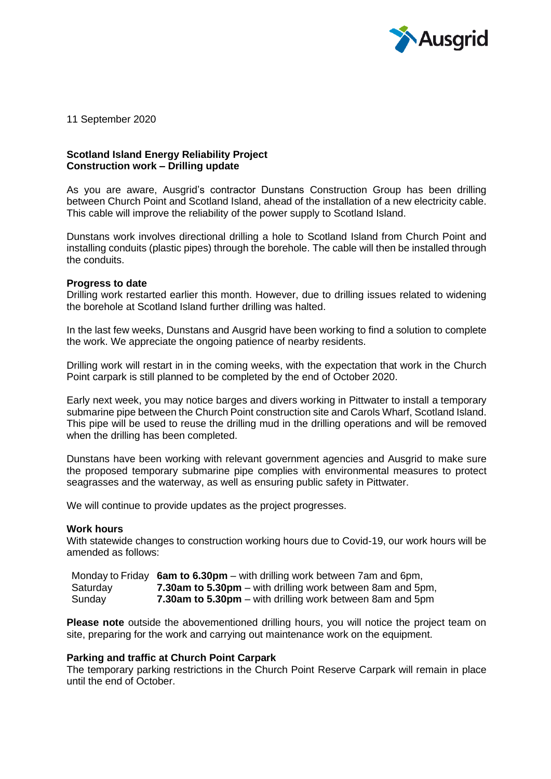

11 September 2020

# **Scotland Island Energy Reliability Project Construction work – Drilling update**

As you are aware, Ausgrid's contractor Dunstans Construction Group has been drilling between Church Point and Scotland Island, ahead of the installation of a new electricity cable. This cable will improve the reliability of the power supply to Scotland Island.

Dunstans work involves directional drilling a hole to Scotland Island from Church Point and installing conduits (plastic pipes) through the borehole. The cable will then be installed through the conduits.

## **Progress to date**

Drilling work restarted earlier this month. However, due to drilling issues related to widening the borehole at Scotland Island further drilling was halted.

In the last few weeks, Dunstans and Ausgrid have been working to find a solution to complete the work. We appreciate the ongoing patience of nearby residents.

Drilling work will restart in in the coming weeks, with the expectation that work in the Church Point carpark is still planned to be completed by the end of October 2020.

Early next week, you may notice barges and divers working in Pittwater to install a temporary submarine pipe between the Church Point construction site and Carols Wharf, Scotland Island. This pipe will be used to reuse the drilling mud in the drilling operations and will be removed when the drilling has been completed.

Dunstans have been working with relevant government agencies and Ausgrid to make sure the proposed temporary submarine pipe complies with environmental measures to protect seagrasses and the waterway, as well as ensuring public safety in Pittwater.

We will continue to provide updates as the project progresses.

#### **Work hours**

With statewide changes to construction working hours due to Covid-19, our work hours will be amended as follows:

Monday to Friday **6am to 6.30pm** – with drilling work between 7am and 6pm, Saturday **7.30am to 5.30pm** – with drilling work between 8am and 5pm, Sunday **7.30am to 5.30pm** – with drilling work between 8am and 5pm

**Please note** outside the abovementioned drilling hours, you will notice the project team on site, preparing for the work and carrying out maintenance work on the equipment.

#### **Parking and traffic at Church Point Carpark**

The temporary parking restrictions in the Church Point Reserve Carpark will remain in place until the end of October.